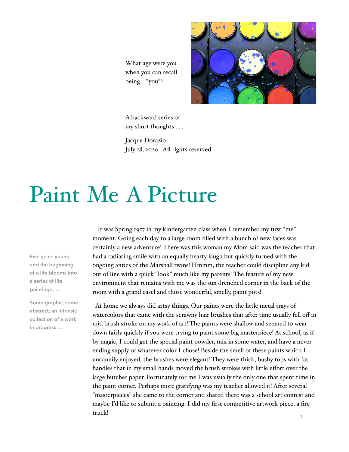What age were you when you can recall being "you"?



A backward series of my short thoughts . . .

Jacque Dorazio . July 18, 2020. All rights reserved

## Paint Me A Picture

**Five years young and the beginning of a life blooms into a series of life paintings . . .** 

**Some graphic, some abstract, an intrinsic collection of a work in progress . . .**

 It was Spring 1957 in my kindergarten class when I remember my first "me" moment. Going each day to a large room filled with a bunch of new faces was certainly a new adventure! There was this woman my Mom said was the teacher that had a radiating smile with an equally hearty laugh but quickly turned with the ongoing antics of the Marshall twins! Hmmm, the teacher could discipline any kid out of line with a quick "look" much like my parents! The feature of my new environment that remains with me was the sun drenched corner in the back of the room with a grand easel and those wonderful, smelly, paint pots!

 At home we always did artsy things. Our paints were the little metal trays of watercolors that came with the scrawny hair brushes that after time usually fell off in mid brush stroke on my work of art! The paints were shallow and seemed to wear down fairly quickly if you were trying to paint some big masterpiece! At school, as if by magic, I could get the special paint powder, mix in some water, and have a never ending supply of whatever color I chose! Beside the smell of these paints which I uncannily enjoyed, the brushes were elegant! They were thick, bushy tops with fat handles that in my small hands moved the brush strokes with little effort over the large butcher paper. Fortunately for me I was usually the only one that spent time in the paint corner. Perhaps more gratifying was my teacher allowed it! After several "masterpieces" she came to the corner and shared there was a school art contest and maybe I'd like to submit a painting. I did my first competitive artwork piece, a fire truck!